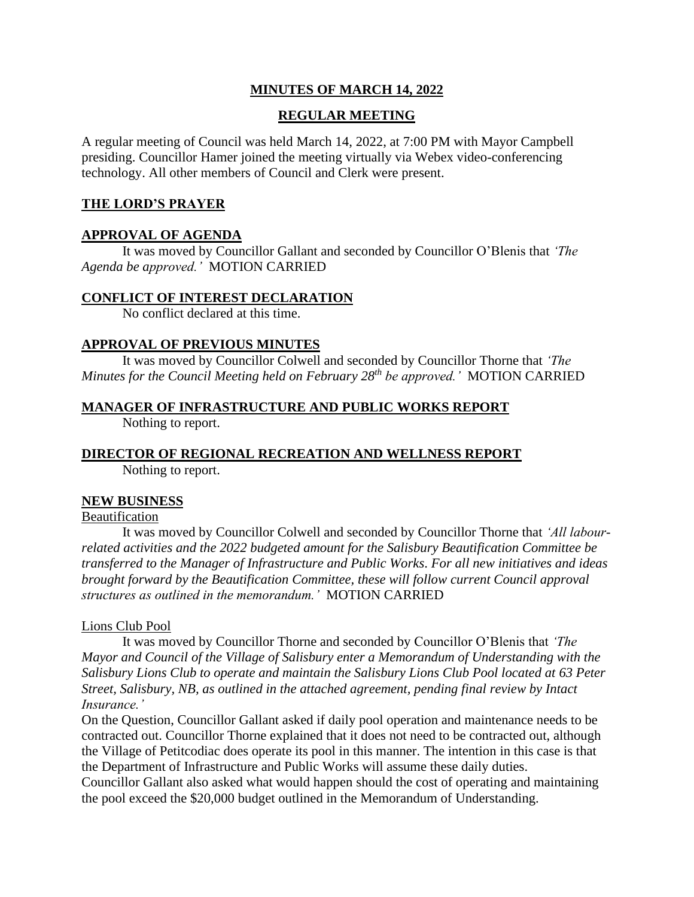## **MINUTES OF MARCH 14, 2022**

### **REGULAR MEETING**

A regular meeting of Council was held March 14, 2022, at 7:00 PM with Mayor Campbell presiding. Councillor Hamer joined the meeting virtually via Webex video-conferencing technology. All other members of Council and Clerk were present.

### **THE LORD'S PRAYER**

### **APPROVAL OF AGENDA**

It was moved by Councillor Gallant and seconded by Councillor O'Blenis that *'The Agenda be approved.'* MOTION CARRIED

### **CONFLICT OF INTEREST DECLARATION**

No conflict declared at this time.

### **APPROVAL OF PREVIOUS MINUTES**

It was moved by Councillor Colwell and seconded by Councillor Thorne that *'The Minutes for the Council Meeting held on February 28 th be approved.'* MOTION CARRIED

### **MANAGER OF INFRASTRUCTURE AND PUBLIC WORKS REPORT**

Nothing to report.

# **DIRECTOR OF REGIONAL RECREATION AND WELLNESS REPORT**

Nothing to report.

### **NEW BUSINESS**

## Beautification

It was moved by Councillor Colwell and seconded by Councillor Thorne that *'All labourrelated activities and the 2022 budgeted amount for the Salisbury Beautification Committee be transferred to the Manager of Infrastructure and Public Works*. *For all new initiatives and ideas brought forward by the Beautification Committee, these will follow current Council approval structures as outlined in the memorandum.'* MOTION CARRIED

### Lions Club Pool

It was moved by Councillor Thorne and seconded by Councillor O'Blenis that *'The Mayor and Council of the Village of Salisbury enter a Memorandum of Understanding with the Salisbury Lions Club to operate and maintain the Salisbury Lions Club Pool located at 63 Peter Street, Salisbury, NB, as outlined in the attached agreement, pending final review by Intact Insurance.'* 

On the Question, Councillor Gallant asked if daily pool operation and maintenance needs to be contracted out. Councillor Thorne explained that it does not need to be contracted out, although the Village of Petitcodiac does operate its pool in this manner. The intention in this case is that the Department of Infrastructure and Public Works will assume these daily duties.

Councillor Gallant also asked what would happen should the cost of operating and maintaining the pool exceed the \$20,000 budget outlined in the Memorandum of Understanding.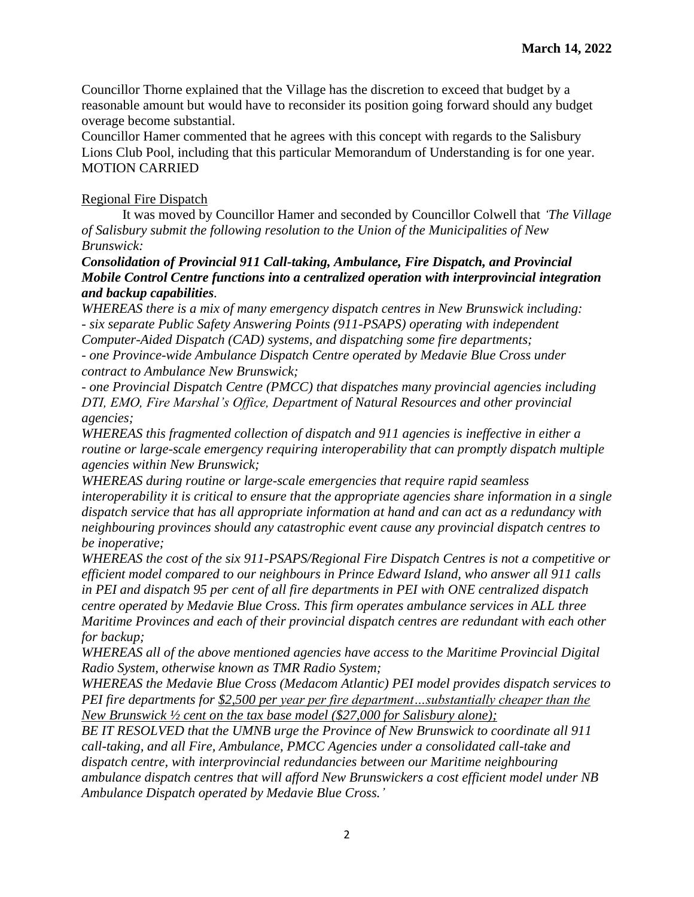Councillor Thorne explained that the Village has the discretion to exceed that budget by a reasonable amount but would have to reconsider its position going forward should any budget overage become substantial.

Councillor Hamer commented that he agrees with this concept with regards to the Salisbury Lions Club Pool, including that this particular Memorandum of Understanding is for one year. MOTION CARRIED

## Regional Fire Dispatch

It was moved by Councillor Hamer and seconded by Councillor Colwell that *'The Village of Salisbury submit the following resolution to the Union of the Municipalities of New Brunswick:*

*Consolidation of Provincial 911 Call-taking, Ambulance, Fire Dispatch, and Provincial Mobile Control Centre functions into a centralized operation with interprovincial integration and backup capabilities.*

*WHEREAS there is a mix of many emergency dispatch centres in New Brunswick including: - six separate Public Safety Answering Points (911-PSAPS) operating with independent Computer-Aided Dispatch (CAD) systems, and dispatching some fire departments; - one Province-wide Ambulance Dispatch Centre operated by Medavie Blue Cross under contract to Ambulance New Brunswick;*

*- one Provincial Dispatch Centre (PMCC) that dispatches many provincial agencies including DTI, EMO, Fire Marshal's Office, Department of Natural Resources and other provincial agencies;*

*WHEREAS this fragmented collection of dispatch and 911 agencies is ineffective in either a routine or large-scale emergency requiring interoperability that can promptly dispatch multiple agencies within New Brunswick;*

*WHEREAS during routine or large-scale emergencies that require rapid seamless interoperability it is critical to ensure that the appropriate agencies share information in a single dispatch service that has all appropriate information at hand and can act as a redundancy with neighbouring provinces should any catastrophic event cause any provincial dispatch centres to be inoperative;*

*WHEREAS the cost of the six 911-PSAPS/Regional Fire Dispatch Centres is not a competitive or efficient model compared to our neighbours in Prince Edward Island, who answer all 911 calls in PEI and dispatch 95 per cent of all fire departments in PEI with ONE centralized dispatch centre operated by Medavie Blue Cross. This firm operates ambulance services in ALL three Maritime Provinces and each of their provincial dispatch centres are redundant with each other for backup;*

*WHEREAS all of the above mentioned agencies have access to the Maritime Provincial Digital Radio System, otherwise known as TMR Radio System;*

*WHEREAS the Medavie Blue Cross (Medacom Atlantic) PEI model provides dispatch services to PEI fire departments for \$2,500 per year per fire department…substantially cheaper than the New Brunswick ½ cent on the tax base model (\$27,000 for Salisbury alone);*

*BE IT RESOLVED that the UMNB urge the Province of New Brunswick to coordinate all 911 call-taking, and all Fire, Ambulance, PMCC Agencies under a consolidated call-take and dispatch centre, with interprovincial redundancies between our Maritime neighbouring ambulance dispatch centres that will afford New Brunswickers a cost efficient model under NB Ambulance Dispatch operated by Medavie Blue Cross.'*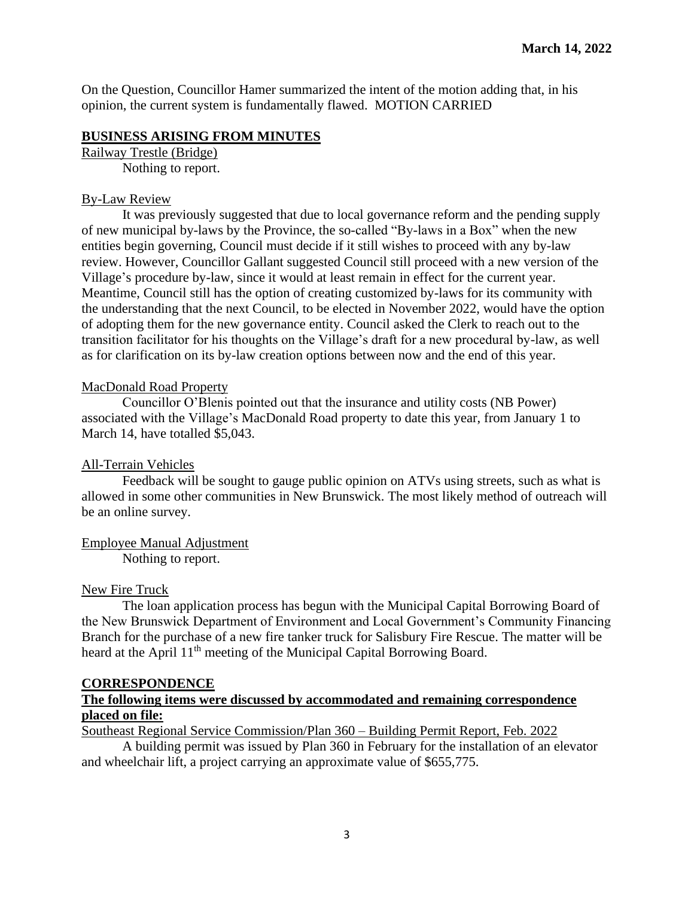On the Question, Councillor Hamer summarized the intent of the motion adding that, in his opinion, the current system is fundamentally flawed. MOTION CARRIED

#### **BUSINESS ARISING FROM MINUTES**

Railway Trestle (Bridge) Nothing to report.

### By-Law Review

It was previously suggested that due to local governance reform and the pending supply of new municipal by-laws by the Province, the so-called "By-laws in a Box" when the new entities begin governing, Council must decide if it still wishes to proceed with any by-law review. However, Councillor Gallant suggested Council still proceed with a new version of the Village's procedure by-law, since it would at least remain in effect for the current year. Meantime, Council still has the option of creating customized by-laws for its community with the understanding that the next Council, to be elected in November 2022, would have the option of adopting them for the new governance entity. Council asked the Clerk to reach out to the transition facilitator for his thoughts on the Village's draft for a new procedural by-law, as well as for clarification on its by-law creation options between now and the end of this year.

### MacDonald Road Property

Councillor O'Blenis pointed out that the insurance and utility costs (NB Power) associated with the Village's MacDonald Road property to date this year, from January 1 to March 14, have totalled \$5,043.

### All-Terrain Vehicles

Feedback will be sought to gauge public opinion on ATVs using streets, such as what is allowed in some other communities in New Brunswick. The most likely method of outreach will be an online survey.

Employee Manual Adjustment Nothing to report.

#### New Fire Truck

The loan application process has begun with the Municipal Capital Borrowing Board of the New Brunswick Department of Environment and Local Government's Community Financing Branch for the purchase of a new fire tanker truck for Salisbury Fire Rescue. The matter will be heard at the April 11<sup>th</sup> meeting of the Municipal Capital Borrowing Board.

#### **CORRESPONDENCE**

#### **The following items were discussed by accommodated and remaining correspondence placed on file:**

Southeast Regional Service Commission/Plan 360 – Building Permit Report, Feb. 2022

A building permit was issued by Plan 360 in February for the installation of an elevator and wheelchair lift, a project carrying an approximate value of \$655,775.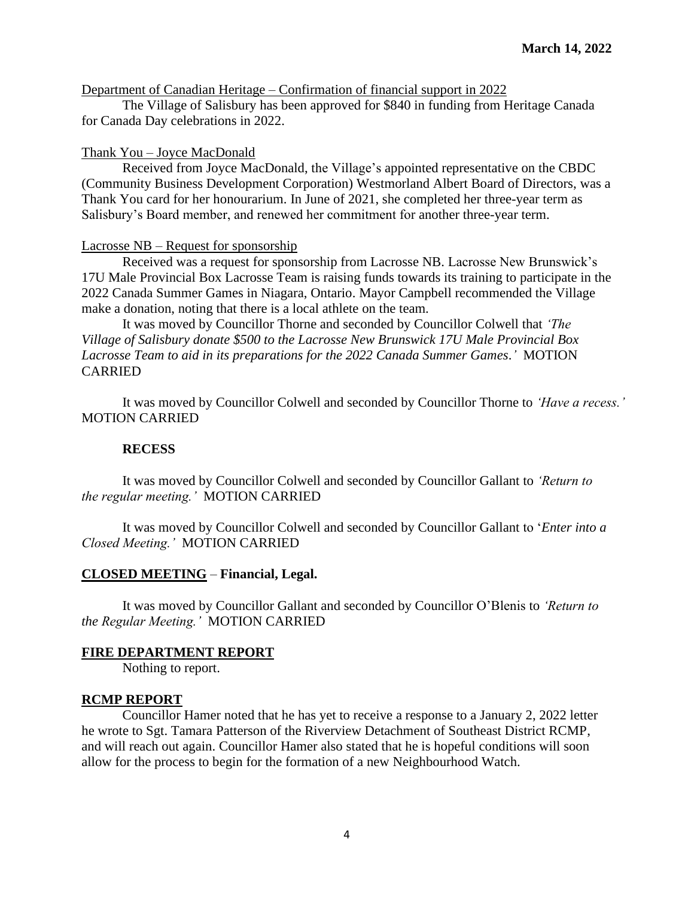Department of Canadian Heritage – Confirmation of financial support in 2022

The Village of Salisbury has been approved for \$840 in funding from Heritage Canada for Canada Day celebrations in 2022.

### Thank You – Joyce MacDonald

Received from Joyce MacDonald, the Village's appointed representative on the CBDC (Community Business Development Corporation) Westmorland Albert Board of Directors, was a Thank You card for her honourarium. In June of 2021, she completed her three-year term as Salisbury's Board member, and renewed her commitment for another three-year term.

#### Lacrosse NB – Request for sponsorship

Received was a request for sponsorship from Lacrosse NB. Lacrosse New Brunswick's 17U Male Provincial Box Lacrosse Team is raising funds towards its training to participate in the 2022 Canada Summer Games in Niagara, Ontario. Mayor Campbell recommended the Village make a donation, noting that there is a local athlete on the team.

It was moved by Councillor Thorne and seconded by Councillor Colwell that *'The Village of Salisbury donate \$500 to the Lacrosse New Brunswick 17U Male Provincial Box Lacrosse Team to aid in its preparations for the 2022 Canada Summer Games*.*'* MOTION CARRIED

It was moved by Councillor Colwell and seconded by Councillor Thorne to *'Have a recess.'*  MOTION CARRIED

### **RECESS**

It was moved by Councillor Colwell and seconded by Councillor Gallant to *'Return to the regular meeting.'* MOTION CARRIED

It was moved by Councillor Colwell and seconded by Councillor Gallant to '*Enter into a Closed Meeting.'* MOTION CARRIED

# **CLOSED MEETING** – **Financial, Legal.**

It was moved by Councillor Gallant and seconded by Councillor O'Blenis to *'Return to the Regular Meeting.'* MOTION CARRIED

### **FIRE DEPARTMENT REPORT**

Nothing to report.

### **RCMP REPORT**

Councillor Hamer noted that he has yet to receive a response to a January 2, 2022 letter he wrote to Sgt. Tamara Patterson of the Riverview Detachment of Southeast District RCMP, and will reach out again. Councillor Hamer also stated that he is hopeful conditions will soon allow for the process to begin for the formation of a new Neighbourhood Watch.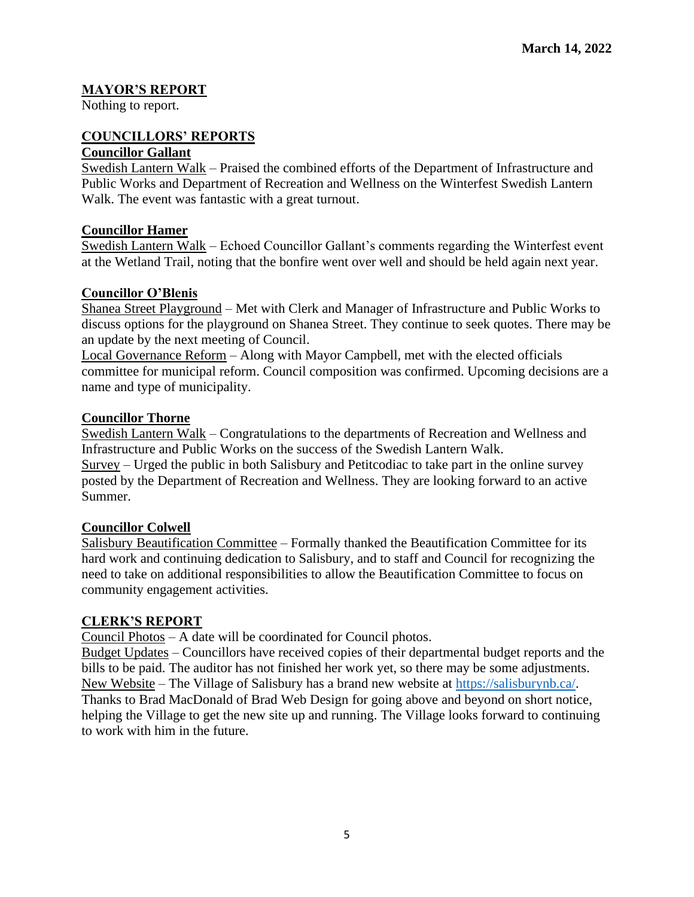## **MAYOR'S REPORT**

Nothing to report.

# **COUNCILLORS' REPORTS**

## **Councillor Gallant**

Swedish Lantern Walk – Praised the combined efforts of the Department of Infrastructure and Public Works and Department of Recreation and Wellness on the Winterfest Swedish Lantern Walk. The event was fantastic with a great turnout.

### **Councillor Hamer**

Swedish Lantern Walk – Echoed Councillor Gallant's comments regarding the Winterfest event at the Wetland Trail, noting that the bonfire went over well and should be held again next year.

### **Councillor O'Blenis**

Shanea Street Playground – Met with Clerk and Manager of Infrastructure and Public Works to discuss options for the playground on Shanea Street. They continue to seek quotes. There may be an update by the next meeting of Council.

Local Governance Reform – Along with Mayor Campbell, met with the elected officials committee for municipal reform. Council composition was confirmed. Upcoming decisions are a name and type of municipality.

### **Councillor Thorne**

Swedish Lantern Walk – Congratulations to the departments of Recreation and Wellness and Infrastructure and Public Works on the success of the Swedish Lantern Walk. Survey – Urged the public in both Salisbury and Petitcodiac to take part in the online survey posted by the Department of Recreation and Wellness. They are looking forward to an active Summer.

### **Councillor Colwell**

Salisbury Beautification Committee – Formally thanked the Beautification Committee for its hard work and continuing dedication to Salisbury, and to staff and Council for recognizing the need to take on additional responsibilities to allow the Beautification Committee to focus on community engagement activities.

### **CLERK'S REPORT**

Council Photos – A date will be coordinated for Council photos.

Budget Updates – Councillors have received copies of their departmental budget reports and the bills to be paid. The auditor has not finished her work yet, so there may be some adjustments. New Website – The Village of Salisbury has a brand new website at [https://salisburynb.ca/.](https://salisburynb.ca/) Thanks to Brad MacDonald of Brad Web Design for going above and beyond on short notice, helping the Village to get the new site up and running. The Village looks forward to continuing to work with him in the future.